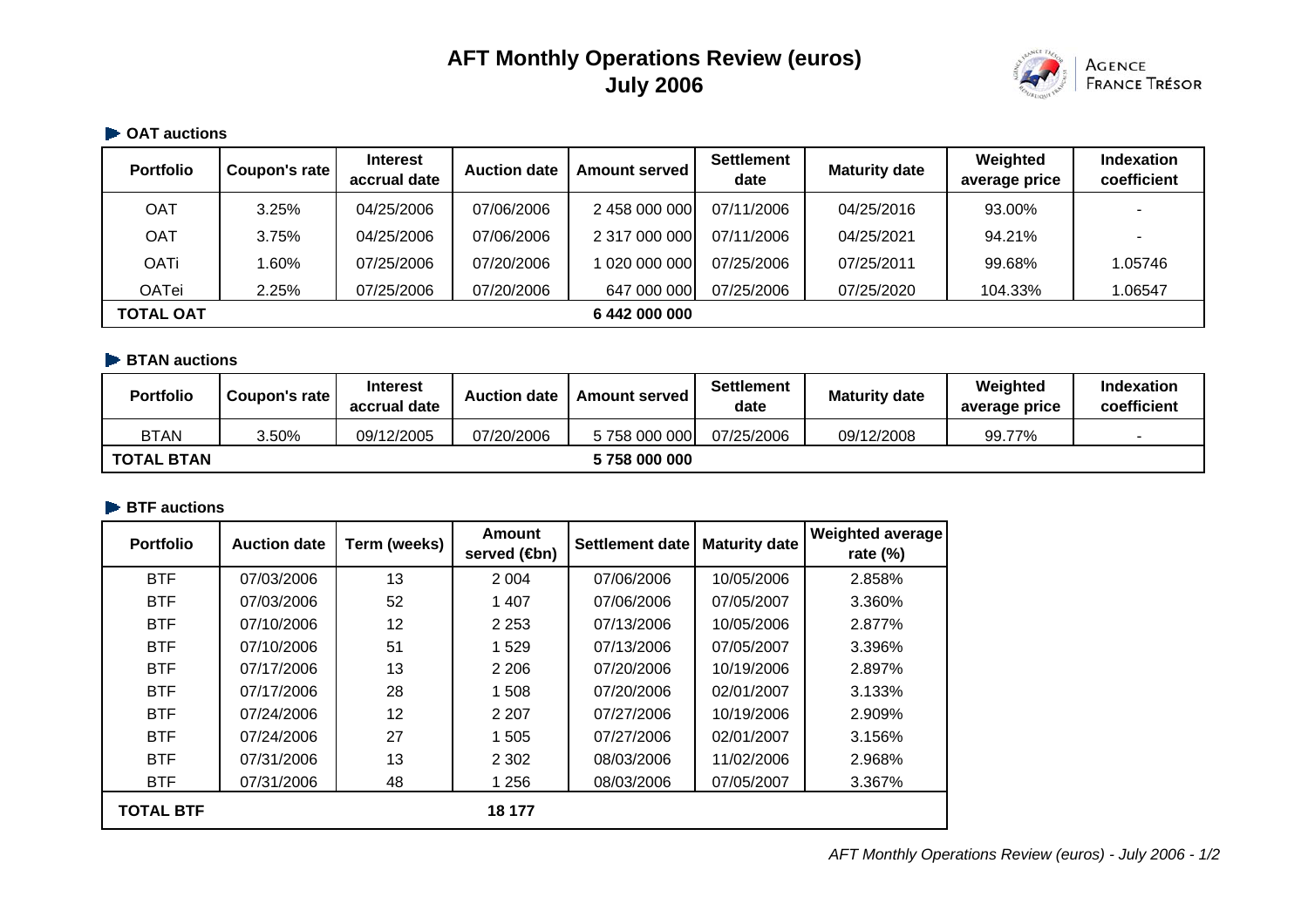# **AFT Monthly Operations Review (euros) July 2006**



#### **OAT auctions**

| <b>Portfolio</b> | Coupon's rate | <b>Interest</b><br>accrual date | <b>Auction date</b> | <b>Amount served</b> | Settlement<br>date | <b>Maturity date</b> | Weighted<br>average price | Indexation<br>coefficient |
|------------------|---------------|---------------------------------|---------------------|----------------------|--------------------|----------------------|---------------------------|---------------------------|
| OAT              | 3.25%         | 04/25/2006                      | 07/06/2006          | 2 458 000 000        | 07/11/2006         | 04/25/2016           | 93.00%                    | $\overline{\phantom{0}}$  |
| OAT              | 3.75%         | 04/25/2006                      | 07/06/2006          | 2 317 000 000        | 07/11/2006         | 04/25/2021           | 94.21%                    |                           |
| <b>OATi</b>      | .60%          | 07/25/2006                      | 07/20/2006          | 020 000 000          | 07/25/2006         | 07/25/2011           | 99.68%                    | 1.05746                   |
| <b>OATei</b>     | 2.25%         | 07/25/2006                      | 07/20/2006          | 647 000 000          | 07/25/2006         | 07/25/2020           | 104.33%                   | 1.06547                   |
| <b>TOTAL OAT</b> |               |                                 |                     | 6 442 000 000        |                    |                      |                           |                           |

### **BTAN auctions**

| <b>Portfolio</b>  | Coupon's rate | <b>Interest</b><br>accrual date | <b>Auction date</b> | <b>Amount served</b> | <b>Settlement</b><br>date | <b>Maturity date</b> | Weighted<br>average price | <b>Indexation</b><br>coefficient |
|-------------------|---------------|---------------------------------|---------------------|----------------------|---------------------------|----------------------|---------------------------|----------------------------------|
| <b>BTAN</b>       | 3.50%         | 09/12/2005                      | 07/20/2006          | 5758000000           | 07/25/2006                | 09/12/2008           | 99.77%                    |                                  |
| <b>TOTAL BTAN</b> |               |                                 |                     | 5758000000           |                           |                      |                           |                                  |

### **BTF** auctions

| <b>Portfolio</b> | <b>Auction date</b> | Term (weeks) | Amount<br>served ( <b>4</b> bn) | <b>Settlement date</b> | <b>Maturity date</b> | <b>Weighted average</b><br>rate (%) |
|------------------|---------------------|--------------|---------------------------------|------------------------|----------------------|-------------------------------------|
| <b>BTF</b>       | 07/03/2006          | 13           | 2 0 0 4                         | 07/06/2006             | 10/05/2006           | 2.858%                              |
| <b>BTF</b>       | 07/03/2006          | 52           | 1 4 0 7                         | 07/06/2006             | 07/05/2007           | 3.360%                              |
| <b>BTF</b>       | 07/10/2006          | 12           | 2 2 5 3                         | 07/13/2006             | 10/05/2006           | 2.877%                              |
| <b>BTF</b>       | 07/10/2006          | 51           | 1529                            | 07/13/2006             | 07/05/2007           | 3.396%                              |
| <b>BTF</b>       | 07/17/2006          | 13           | 2 2 0 6                         | 07/20/2006             | 10/19/2006           | 2.897%                              |
| <b>BTF</b>       | 07/17/2006          | 28           | 1 508                           | 07/20/2006             | 02/01/2007           | 3.133%                              |
| <b>BTF</b>       | 07/24/2006          | 12           | 2 2 0 7                         | 07/27/2006             | 10/19/2006           | 2.909%                              |
| <b>BTF</b>       | 07/24/2006          | 27           | 1 505                           | 07/27/2006             | 02/01/2007           | 3.156%                              |
| <b>BTF</b>       | 07/31/2006          | 13           | 2 3 0 2                         | 08/03/2006             | 11/02/2006           | 2.968%                              |
| <b>BTF</b>       | 07/31/2006          | 48           | 1 2 5 6                         | 08/03/2006             | 07/05/2007           | 3.367%                              |
| <b>TOTAL BTF</b> |                     |              | 18 177                          |                        |                      |                                     |